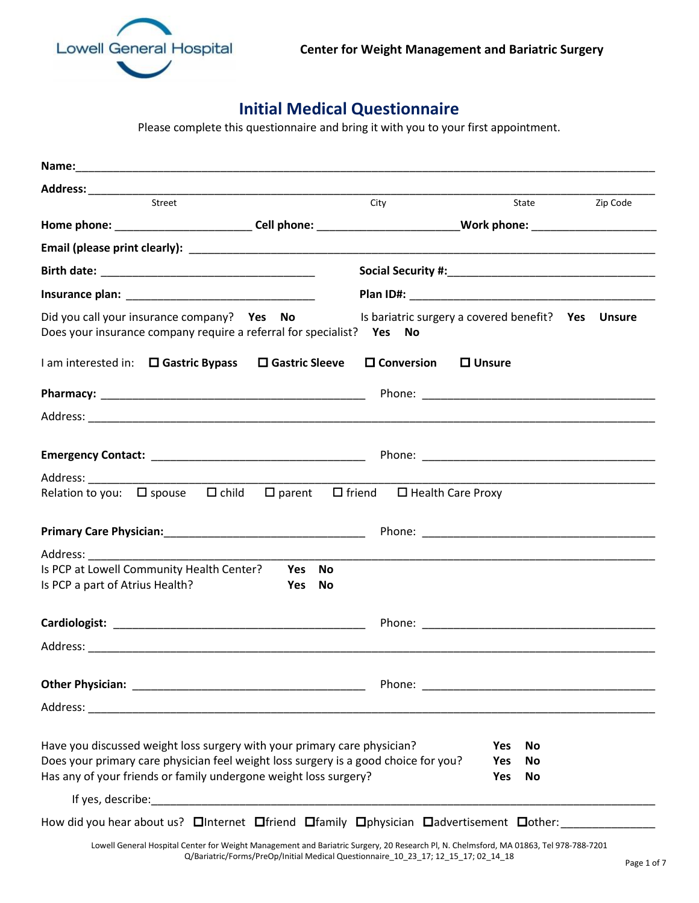

# **Initial Medical Questionnaire**

Please complete this questionnaire and bring it with you to your first appointment.

| Street                                                                                                                                                                                                                              |                          | City                 | State                                                                                                                                                                                                                          | Zip Code |
|-------------------------------------------------------------------------------------------------------------------------------------------------------------------------------------------------------------------------------------|--------------------------|----------------------|--------------------------------------------------------------------------------------------------------------------------------------------------------------------------------------------------------------------------------|----------|
| Home phone: _____________________________Cell phone: __________________________Work phone: ___________________                                                                                                                      |                          |                      |                                                                                                                                                                                                                                |          |
|                                                                                                                                                                                                                                     |                          |                      |                                                                                                                                                                                                                                |          |
|                                                                                                                                                                                                                                     |                          |                      |                                                                                                                                                                                                                                |          |
|                                                                                                                                                                                                                                     |                          |                      |                                                                                                                                                                                                                                |          |
| Did you call your insurance company? Yes No<br>Does your insurance company require a referral for specialist? Yes No                                                                                                                |                          |                      | Is bariatric surgery a covered benefit? Yes Unsure                                                                                                                                                                             |          |
| I am interested in: <b>O</b> Gastric Bypass                                                                                                                                                                                         | $\square$ Gastric Sleeve | $\square$ Conversion | $\Box$ Unsure                                                                                                                                                                                                                  |          |
|                                                                                                                                                                                                                                     |                          |                      |                                                                                                                                                                                                                                |          |
|                                                                                                                                                                                                                                     |                          |                      |                                                                                                                                                                                                                                |          |
|                                                                                                                                                                                                                                     |                          |                      |                                                                                                                                                                                                                                |          |
| Relation to you: $\Box$ spouse $\Box$ Child $\Box$ parent $\Box$ Friend $\Box$ Health Care Proxy                                                                                                                                    |                          |                      |                                                                                                                                                                                                                                |          |
|                                                                                                                                                                                                                                     |                          |                      |                                                                                                                                                                                                                                |          |
| Address: Andreas Address and Address and Address and Address and Address and Address and Address and Address a                                                                                                                      |                          |                      |                                                                                                                                                                                                                                |          |
| Is PCP at Lowell Community Health Center?<br>Is PCP a part of Atrius Health?                                                                                                                                                        | Yes No<br>Yes No         |                      |                                                                                                                                                                                                                                |          |
|                                                                                                                                                                                                                                     |                          |                      |                                                                                                                                                                                                                                |          |
|                                                                                                                                                                                                                                     |                          |                      |                                                                                                                                                                                                                                |          |
|                                                                                                                                                                                                                                     |                          |                      | Phone: Note: The Commission of the Commission of the Commission of the Commission of the Commission of the Commission of the Commission of the Commission of the Commission of the Commission of the Commission of the Commiss |          |
|                                                                                                                                                                                                                                     |                          |                      |                                                                                                                                                                                                                                |          |
| Have you discussed weight loss surgery with your primary care physician?<br>Does your primary care physician feel weight loss surgery is a good choice for you?<br>Has any of your friends or family undergone weight loss surgery? |                          |                      | <b>Yes</b><br><b>No</b><br><b>Yes</b><br><b>No</b><br>Yes<br><b>No</b>                                                                                                                                                         |          |
|                                                                                                                                                                                                                                     |                          |                      |                                                                                                                                                                                                                                |          |
| How did you hear about us? Dinternet Difriend Difamily Ophysician Dadvertisement Dother:                                                                                                                                            |                          |                      |                                                                                                                                                                                                                                |          |

Lowell General Hospital Center for Weight Management and Bariatric Surgery, 20 Research Pl, N. Chelmsford, MA 01863, Tel 978-788-7201 Q/Bariatric/Forms/PreOp/Initial Medical Questionnaire\_10\_23\_17; 12\_15\_17; 02\_14\_18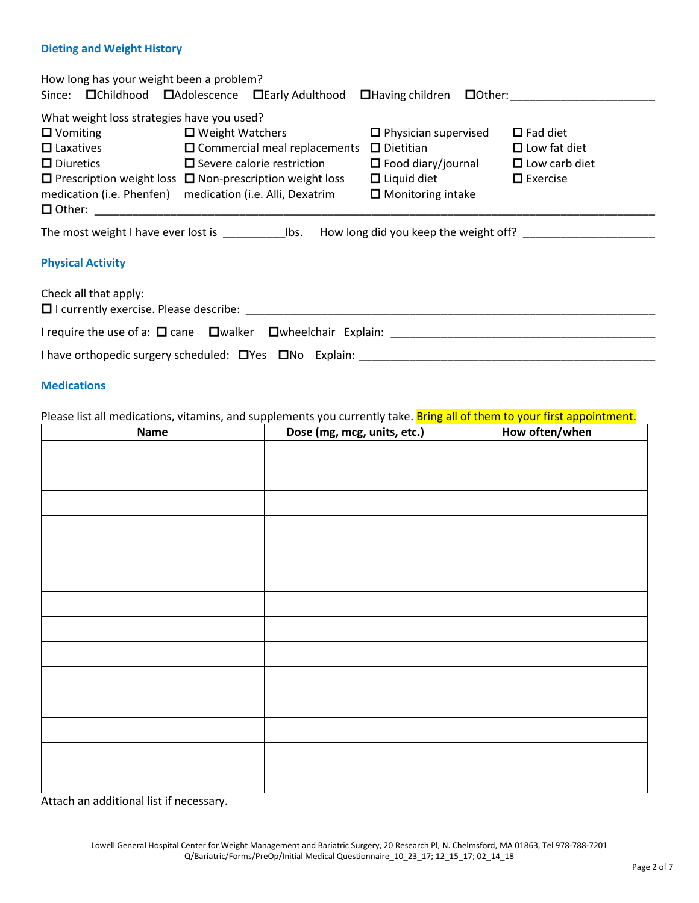### **Dieting and Weight History**

| How long has your weight been a problem?   |                                                                     |                             |                                                                                         |
|--------------------------------------------|---------------------------------------------------------------------|-----------------------------|-----------------------------------------------------------------------------------------|
|                                            |                                                                     |                             | Since: OChildhood DAdolescence DEarly Adulthood DHaving children DOther: 1986 1997 1998 |
| What weight loss strategies have you used? |                                                                     |                             |                                                                                         |
| $\Box$ Vomiting $\Box$ Weight Watchers     |                                                                     | $\Box$ Physician supervised | $\Box$ Fad diet                                                                         |
| $\Box$ Laxatives                           | $\Box$ Commercial meal replacements                                 | $\square$ Dietitian         | $\Box$ Low fat diet                                                                     |
| $\square$ Diuretics                        | $\Box$ Severe calorie restriction                                   | $\Box$ Food diary/journal   | $\Box$ Low carb diet                                                                    |
|                                            | $\Box$ Prescription weight loss $\Box$ Non-prescription weight loss | $\Box$ Liquid diet          | $\Box$ Exercise                                                                         |
| medication (i.e. Phenfen)                  | medication (i.e. Alli, Dexatrim                                     | $\Box$ Monitoring intake    |                                                                                         |
|                                            |                                                                     |                             |                                                                                         |
|                                            |                                                                     |                             |                                                                                         |
| <b>Physical Activity</b>                   |                                                                     |                             |                                                                                         |
| Check all that apply:                      |                                                                     |                             |                                                                                         |
|                                            |                                                                     |                             |                                                                                         |
|                                            |                                                                     |                             |                                                                                         |

# **Medications**

Please list all medications, vitamins, and supplements you currently take. Bring all of them to your first appointment.

| Name                                                                                | Dose (mg, mcg, units, etc.) | How often/when |
|-------------------------------------------------------------------------------------|-----------------------------|----------------|
|                                                                                     |                             |                |
|                                                                                     |                             |                |
|                                                                                     |                             |                |
|                                                                                     |                             |                |
|                                                                                     |                             |                |
|                                                                                     |                             |                |
|                                                                                     |                             |                |
|                                                                                     |                             |                |
|                                                                                     |                             |                |
|                                                                                     |                             |                |
|                                                                                     |                             |                |
|                                                                                     |                             |                |
|                                                                                     |                             |                |
|                                                                                     |                             |                |
|                                                                                     |                             |                |
|                                                                                     |                             |                |
|                                                                                     |                             |                |
|                                                                                     |                             |                |
|                                                                                     |                             |                |
|                                                                                     |                             |                |
| $\sim$ 1.100 $\sim$ 1.100 $\sim$ 1.200 $\sim$<br>$\sim$ $\sim$ $\sim$ $\sim$ $\sim$ |                             |                |

Attach an additional list if necessary.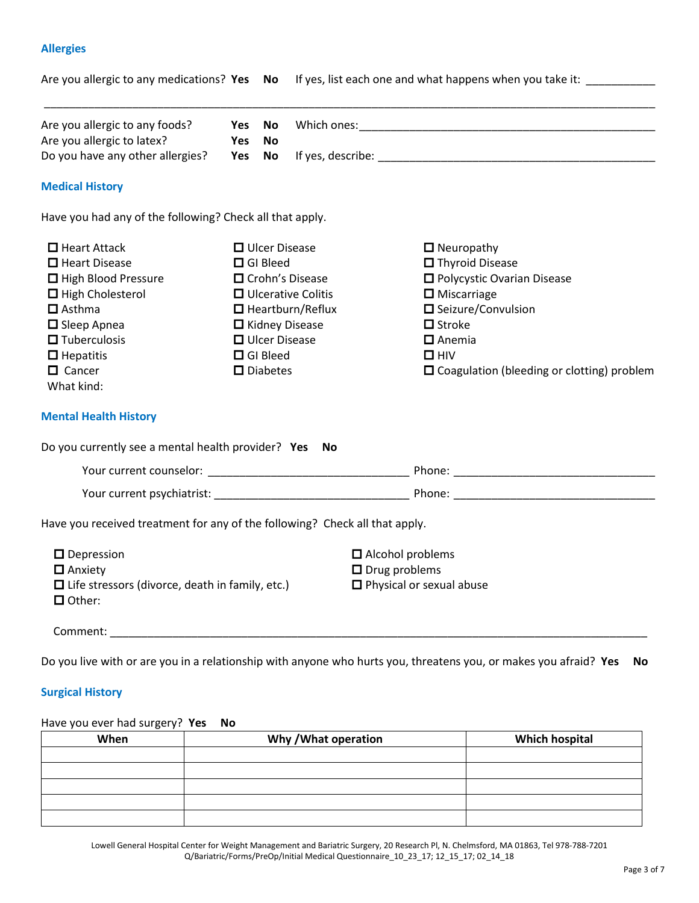|                                                                                                                                                                                                                     |                   |                                                                                                          |                                                                                                             | Are you allergic to any medications? Yes No If yes, list each one and what happens when you take it:                                                                                                      |
|---------------------------------------------------------------------------------------------------------------------------------------------------------------------------------------------------------------------|-------------------|----------------------------------------------------------------------------------------------------------|-------------------------------------------------------------------------------------------------------------|-----------------------------------------------------------------------------------------------------------------------------------------------------------------------------------------------------------|
| Are you allergic to any foods?<br>Are you allergic to latex?<br>Do you have any other allergies?                                                                                                                    | Yes<br>Yes<br>Yes | No<br><b>No</b><br>No                                                                                    |                                                                                                             |                                                                                                                                                                                                           |
| <b>Medical History</b>                                                                                                                                                                                              |                   |                                                                                                          |                                                                                                             |                                                                                                                                                                                                           |
| Have you had any of the following? Check all that apply.                                                                                                                                                            |                   |                                                                                                          |                                                                                                             |                                                                                                                                                                                                           |
| $\Box$ Heart Attack<br>$\Box$ Heart Disease<br>□ High Blood Pressure<br>$\Box$ High Cholesterol<br>$\Box$ Asthma<br>$\square$ Sleep Apnea<br>$\Box$ Tuberculosis<br>$\Box$ Hepatitis<br>$\Box$ Cancer<br>What kind: |                   | $\Box$ Ulcer Disease<br>$\Box$ GI Bleed<br>$\Box$ Ulcer Disease<br>$\Box$ GI Bleed<br>$\square$ Diabetes | □ Crohn's Disease<br>□ Ulcerative Colitis<br>$\Box$ Heartburn/Reflux<br>$\Box$ Kidney Disease<br>$\Box$ HIV | $\Box$ Neuropathy<br>□ Thyroid Disease<br>Polycystic Ovarian Disease<br>$\Box$ Miscarriage<br>□ Seizure/Convulsion<br>$\Box$ Stroke<br>$\Box$ Anemia<br>$\Box$ Coagulation (bleeding or clotting) problem |
| <b>Mental Health History</b>                                                                                                                                                                                        |                   |                                                                                                          |                                                                                                             |                                                                                                                                                                                                           |
| Do you currently see a mental health provider? Yes No                                                                                                                                                               |                   |                                                                                                          |                                                                                                             |                                                                                                                                                                                                           |
|                                                                                                                                                                                                                     |                   |                                                                                                          |                                                                                                             |                                                                                                                                                                                                           |
|                                                                                                                                                                                                                     |                   |                                                                                                          |                                                                                                             |                                                                                                                                                                                                           |
| Have you received treatment for any of the following? Check all that apply.                                                                                                                                         |                   |                                                                                                          |                                                                                                             |                                                                                                                                                                                                           |
| $\square$ Depression<br>$\Box$ Anxiety<br>$\Box$ Life stressors (divorce, death in family, etc.)<br>$\Box$ Other:<br>Comment:                                                                                       |                   |                                                                                                          | $\Box$ Alcohol problems<br>$\Box$ Drug problems<br>□ Physical or sexual abuse                               |                                                                                                                                                                                                           |

Do you live with or are you in a relationship with anyone who hurts you, threatens you, or makes you afraid? **Yes No**

## **Surgical History**

#### Have you ever had surgery? **Yes No**

| When | Why / What operation | <b>Which hospital</b> |
|------|----------------------|-----------------------|
|      |                      |                       |
|      |                      |                       |
|      |                      |                       |
|      |                      |                       |
|      |                      |                       |

Lowell General Hospital Center for Weight Management and Bariatric Surgery, 20 Research Pl, N. Chelmsford, MA 01863, Tel 978-788-7201 Q/Bariatric/Forms/PreOp/Initial Medical Questionnaire\_10\_23\_17; 12\_15\_17; 02\_14\_18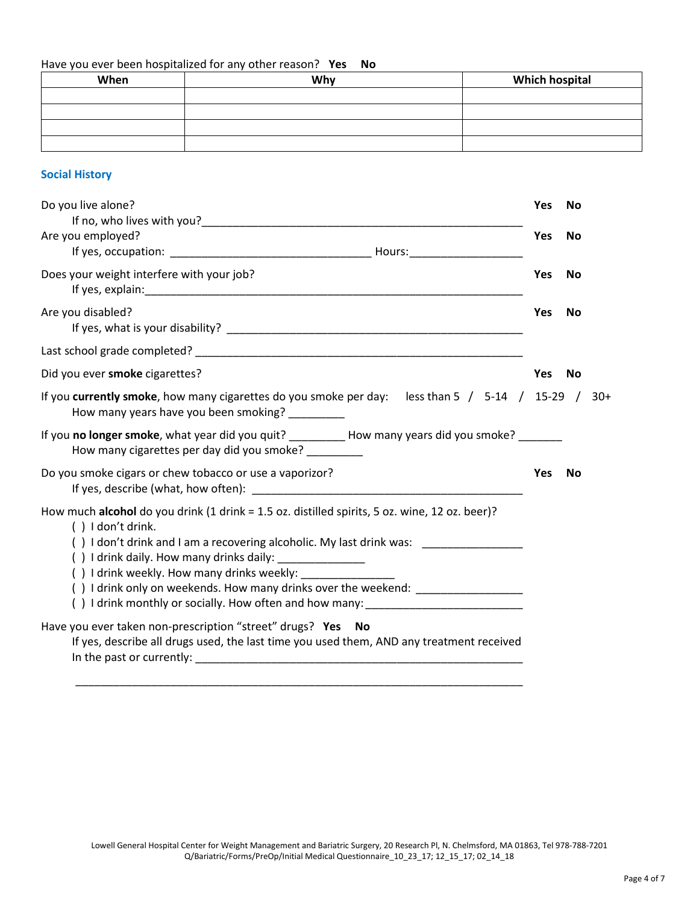# Have you ever been hospitalized for any other reason? **Yes No**

| When | Why | <b>Which hospital</b> |
|------|-----|-----------------------|
|      |     |                       |
|      |     |                       |
|      |     |                       |
|      |     |                       |

### **Social History**

| Do you live alone?                                                                                                                                                                                                                                                                                                                                                                       | <b>Yes</b> | No        |       |
|------------------------------------------------------------------------------------------------------------------------------------------------------------------------------------------------------------------------------------------------------------------------------------------------------------------------------------------------------------------------------------------|------------|-----------|-------|
| Are you employed?                                                                                                                                                                                                                                                                                                                                                                        | <b>Yes</b> | No        |       |
| Does your weight interfere with your job?                                                                                                                                                                                                                                                                                                                                                | <b>Yes</b> | <b>No</b> |       |
| Are you disabled?                                                                                                                                                                                                                                                                                                                                                                        | <b>Yes</b> | <b>No</b> |       |
|                                                                                                                                                                                                                                                                                                                                                                                          |            |           |       |
| Did you ever smoke cigarettes?                                                                                                                                                                                                                                                                                                                                                           | <b>Yes</b> | <b>No</b> |       |
| If you currently smoke, how many cigarettes do you smoke per day: less than 5 $/$ 5-14 $/$ 15-29 $/$<br>How many years have you been smoking?                                                                                                                                                                                                                                            |            |           | $30+$ |
| If you no longer smoke, what year did you quit? ___________ How many years did you smoke? _______<br>How many cigarettes per day did you smoke?                                                                                                                                                                                                                                          |            |           |       |
| Do you smoke cigars or chew tobacco or use a vaporizor?                                                                                                                                                                                                                                                                                                                                  | <b>Yes</b> | <b>No</b> |       |
| How much alcohol do you drink (1 drink = 1.5 oz. distilled spirits, 5 oz. wine, 12 oz. beer)?<br>() I don't drink.<br>() I don't drink and I am a recovering alcoholic. My last drink was: ___________<br>() I drink daily. How many drinks daily: _______________<br>() I drink weekly. How many drinks weekly:                                                                         |            |           |       |
| () I drink only on weekends. How many drinks over the weekend: _________________                                                                                                                                                                                                                                                                                                         |            |           |       |
| () I drink monthly or socially. How often and how many:                                                                                                                                                                                                                                                                                                                                  |            |           |       |
| Have you ever taken non-prescription "street" drugs? Yes No<br>If yes, describe all drugs used, the last time you used them, AND any treatment received<br>In the past or currently: Note that the past of contract the past of contract of the past of contract of the state of the state of the state of the state of the state of the state of the state of the state of the state of |            |           |       |
|                                                                                                                                                                                                                                                                                                                                                                                          |            |           |       |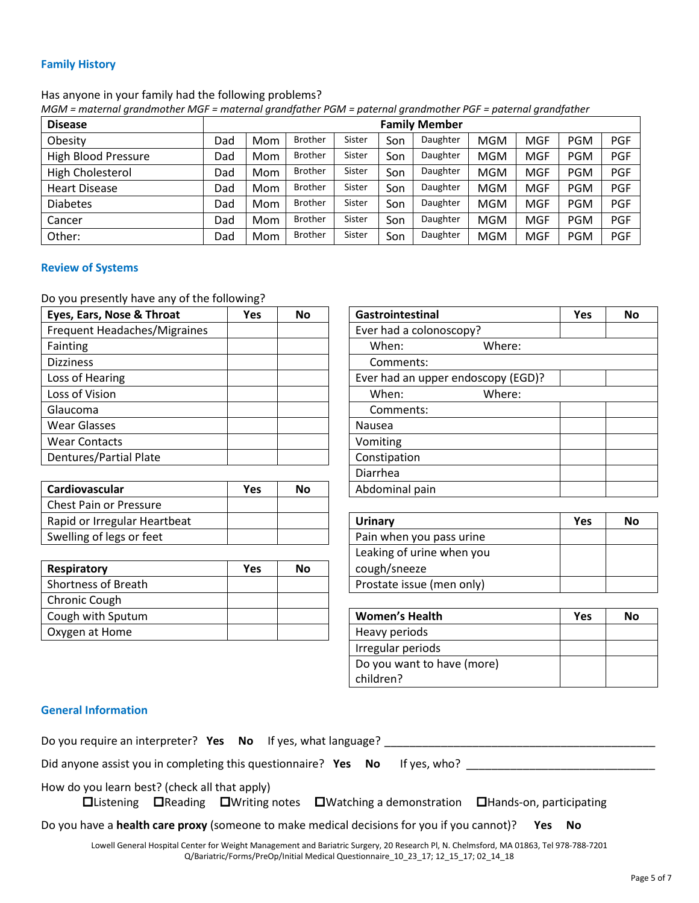#### **Family History**

#### Has anyone in your family had the following problems?

*MGM = maternal grandmother MGF = maternal grandfather PGM = paternal grandmother PGF = paternal grandfather*

| <b>Disease</b>             | <b>Family Member</b> |     |                |        |     |          |            |            |            |            |
|----------------------------|----------------------|-----|----------------|--------|-----|----------|------------|------------|------------|------------|
| Obesity                    | Dad                  | Mom | <b>Brother</b> | Sister | Son | Daughter | <b>MGM</b> | <b>MGF</b> | <b>PGM</b> | <b>PGF</b> |
| <b>High Blood Pressure</b> | Dad                  | Mom | <b>Brother</b> | Sister | Son | Daughter | <b>MGM</b> | <b>MGF</b> | <b>PGM</b> | <b>PGF</b> |
| High Cholesterol           | Dad                  | Mom | <b>Brother</b> | Sister | Son | Daughter | <b>MGM</b> | <b>MGF</b> | <b>PGM</b> | <b>PGF</b> |
| <b>Heart Disease</b>       | Dad                  | Mom | <b>Brother</b> | Sister | Son | Daughter | <b>MGM</b> | <b>MGF</b> | <b>PGM</b> | <b>PGF</b> |
| <b>Diabetes</b>            | Dad                  | Mom | <b>Brother</b> | Sister | Son | Daughter | <b>MGM</b> | <b>MGF</b> | <b>PGM</b> | <b>PGF</b> |
| Cancer                     | Dad                  | Mom | <b>Brother</b> | Sister | Son | Daughter | <b>MGM</b> | <b>MGF</b> | <b>PGM</b> | <b>PGF</b> |
| Other:                     | Dad                  | Mom | <b>Brother</b> | Sister | Son | Daughter | <b>MGM</b> | <b>MGF</b> | <b>PGM</b> | <b>PGF</b> |

#### **Review of Systems**

Do you presently have any of the following?

| Eyes, Ears, Nose & Throat     | <b>Yes</b> | <b>No</b> | Gastrointestinal                   |        |
|-------------------------------|------------|-----------|------------------------------------|--------|
| Frequent Headaches/Migraines  |            |           | Ever had a colonoscopy?            |        |
| Fainting                      |            |           | When:                              | Where: |
| <b>Dizziness</b>              |            |           | Comments:                          |        |
| Loss of Hearing               |            |           | Ever had an upper endoscopy (EGD)? |        |
| Loss of Vision                |            |           | When:                              | Where: |
| Glaucoma                      |            |           | Comments:                          |        |
| <b>Wear Glasses</b>           |            |           | <b>Nausea</b>                      |        |
| <b>Wear Contacts</b>          |            |           | Vomiting                           |        |
| <b>Dentures/Partial Plate</b> |            |           | Constipation                       |        |

| Cardiovascular                | <b>Yes</b> | No | Abdominal pain           |
|-------------------------------|------------|----|--------------------------|
| <b>Chest Pain or Pressure</b> |            |    |                          |
| Rapid or Irregular Heartbeat  |            |    | Urinarv                  |
| Swelling of legs or feet      |            |    | Pain when you pass urine |

| Respiratory                | Yes | No | cough/sneeze              |
|----------------------------|-----|----|---------------------------|
| <b>Shortness of Breath</b> |     |    | Prostate issue (men only) |
| Chronic Cough              |     |    |                           |
| Cough with Sputum          |     |    | <b>Women's Health</b>     |
| Oxygen at Home             |     |    | Heavy periods             |

| Eyes, Ears, Nose & Throat     | Yes        | No        | Gastrointestinal                   | <b>Yes</b> | <b>No</b> |
|-------------------------------|------------|-----------|------------------------------------|------------|-----------|
| Frequent Headaches/Migraines  |            |           | Ever had a colonoscopy?            |            |           |
| Fainting                      |            |           | When:<br>Where:                    |            |           |
| <b>Dizziness</b>              |            |           | Comments:                          |            |           |
| Loss of Hearing               |            |           | Ever had an upper endoscopy (EGD)? |            |           |
| Loss of Vision                |            |           | When:<br>Where:                    |            |           |
| Glaucoma                      |            |           | Comments:                          |            |           |
| <b>Wear Glasses</b>           |            |           | Nausea                             |            |           |
| <b>Wear Contacts</b>          |            |           | Vomiting                           |            |           |
| <b>Dentures/Partial Plate</b> |            |           | Constipation                       |            |           |
|                               |            |           | Diarrhea                           |            |           |
| Cardiovascular                | <b>Yes</b> | <b>No</b> | Abdominal pain                     |            |           |
| Chest Pain or Pressure        |            |           |                                    |            |           |

| Rapid or Irregular Heartbeat |     |           | <b>Urinary</b>            | Yes | No |
|------------------------------|-----|-----------|---------------------------|-----|----|
| Swelling of legs or feet     |     |           | Pain when you pass urine  |     |    |
|                              |     |           | Leaking of urine when you |     |    |
| <b>Respiratory</b>           | Yes | <b>No</b> | cough/sneeze              |     |    |
| Shortness of Breath          |     |           | Prostate issue (men only) |     |    |

| Cough with Sputum |  | <b>Women's Health</b>      | Yes | No |
|-------------------|--|----------------------------|-----|----|
| Oxygen at Home    |  | Heavy periods              |     |    |
|                   |  | Irregular periods          |     |    |
|                   |  | Do you want to have (more) |     |    |
|                   |  | children?                  |     |    |

#### **General Information**

Do you require an interpreter? Yes No If yes, what language? Did anyone assist you in completing this questionnaire? Yes No If yes, who? \_\_\_\_\_\_\_\_\_\_\_\_\_\_\_\_\_\_\_\_\_\_\_\_\_\_\_\_\_\_\_\_\_\_ How do you learn best? (check all that apply) Listening Reading Writing notes Watching a demonstration Hands-on, participating Do you have a **health care proxy** (someone to make medical decisions for you if you cannot)? **Yes No**

Lowell General Hospital Center for Weight Management and Bariatric Surgery, 20 Research Pl, N. Chelmsford, MA 01863, Tel 978-788-7201 Q/Bariatric/Forms/PreOp/Initial Medical Questionnaire\_10\_23\_17; 12\_15\_17; 02\_14\_18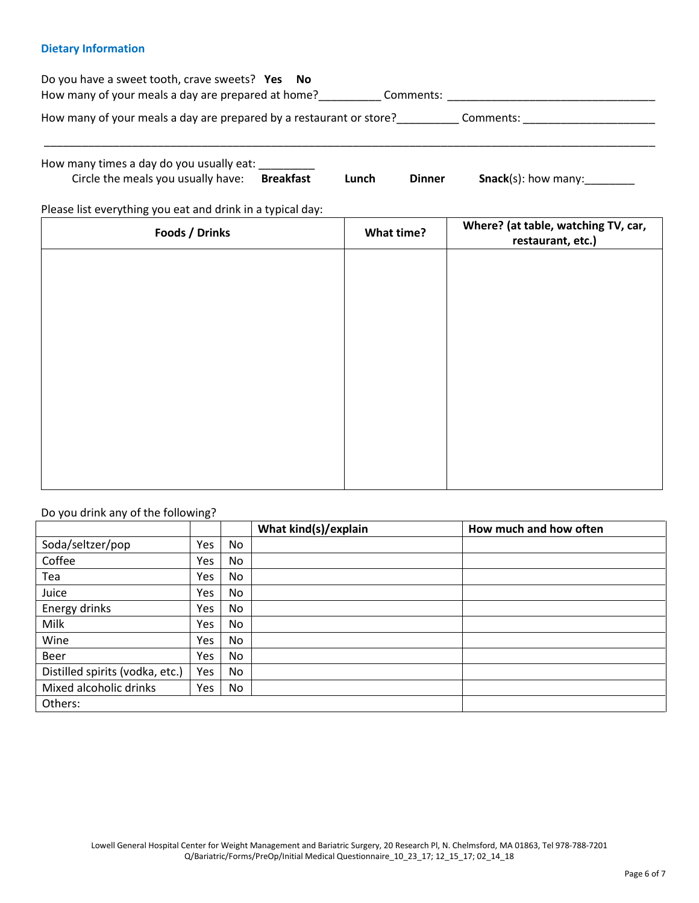#### **Dietary Information**

| Do you have a sweet tooth, crave sweets? Yes No    |           |  |
|----------------------------------------------------|-----------|--|
| How many of your meals a day are prepared at home? | Comments: |  |
|                                                    |           |  |

\_\_\_\_\_\_\_\_\_\_\_\_\_\_\_\_\_\_\_\_\_\_\_\_\_\_\_\_\_\_\_\_\_\_\_\_\_\_\_\_\_\_\_\_\_\_\_\_\_\_\_\_\_\_\_\_\_\_\_\_\_\_\_\_\_\_\_\_\_\_\_\_\_\_\_\_\_\_\_\_\_\_\_\_\_\_\_\_\_\_\_\_\_\_\_\_\_

How many of your meals a day are prepared by a restaurant or store?\_\_\_\_\_\_\_\_\_\_ Comments: \_\_\_\_\_\_\_\_\_\_\_\_\_\_\_\_\_\_\_\_\_

| How many times a day do you usually eat:     |       |               |                             |
|----------------------------------------------|-------|---------------|-----------------------------|
| Circle the meals you usually have: Breakfast | Lunch | <b>Dinner</b> | <b>Snack</b> (s): how many: |

Please list everything you eat and drink in a typical day:

| Foods / Drinks | What time? | Where? (at table, watching TV, car,<br>restaurant, etc.) |
|----------------|------------|----------------------------------------------------------|
|                |            |                                                          |
|                |            |                                                          |
|                |            |                                                          |
|                |            |                                                          |
|                |            |                                                          |
|                |            |                                                          |
|                |            |                                                          |
|                |            |                                                          |

#### Do you drink any of the following?

|                                 |     |           | What kind(s)/explain | How much and how often |
|---------------------------------|-----|-----------|----------------------|------------------------|
| Soda/seltzer/pop                | Yes | <b>No</b> |                      |                        |
| Coffee                          | Yes | No        |                      |                        |
| Tea                             | Yes | No        |                      |                        |
| Juice                           | Yes | <b>No</b> |                      |                        |
| Energy drinks                   | Yes | <b>No</b> |                      |                        |
| Milk                            | Yes | <b>No</b> |                      |                        |
| Wine                            | Yes | <b>No</b> |                      |                        |
| Beer                            | Yes | <b>No</b> |                      |                        |
| Distilled spirits (vodka, etc.) | Yes | <b>No</b> |                      |                        |
| Mixed alcoholic drinks          | Yes | No        |                      |                        |
| Others:                         |     |           |                      |                        |